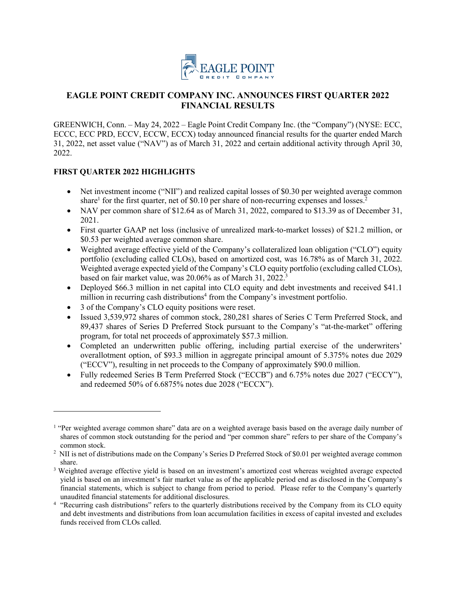

# **EAGLE POINT CREDIT COMPANY INC. ANNOUNCES FIRST QUARTER 2022 FINANCIAL RESULTS**

GREENWICH, Conn. – May 24, 2022 – Eagle Point Credit Company Inc. (the "Company") (NYSE: ECC, ECCC, ECC PRD, ECCV, ECCW, ECCX) today announced financial results for the quarter ended March 31, 2022, net asset value ("NAV") as of March 31, 2022 and certain additional activity through April 30, 2022.

# **FIRST QUARTER 2022 HIGHLIGHTS**

 $\overline{a}$ 

- Net investment income ("NII") and realized capital losses of \$0.30 per weighted average common share<sup>1</sup> for the first quarter, net of \$0.10 per share of non-recurring expenses and losses.<sup>2</sup>
- NAV per common share of \$12.64 as of March 31, 2022, compared to \$13.39 as of December 31, 2021.
- First quarter GAAP net loss (inclusive of unrealized mark-to-market losses) of \$21.2 million, or \$0.53 per weighted average common share.
- Weighted average effective yield of the Company's collateralized loan obligation ("CLO") equity portfolio (excluding called CLOs), based on amortized cost, was 16.78% as of March 31, 2022. Weighted average expected yield of the Company's CLO equity portfolio (excluding called CLOs), based on fair market value, was 20.06% as of March 31, 2022.<sup>3</sup>
- Deployed \$66.3 million in net capital into CLO equity and debt investments and received \$41.1 million in recurring cash distributions<sup>4</sup> from the Company's investment portfolio.
- 3 of the Company's CLO equity positions were reset.
- Issued 3,539,972 shares of common stock, 280,281 shares of Series C Term Preferred Stock, and 89,437 shares of Series D Preferred Stock pursuant to the Company's "at-the-market" offering program, for total net proceeds of approximately \$57.3 million.
- Completed an underwritten public offering, including partial exercise of the underwriters' overallotment option, of \$93.3 million in aggregate principal amount of 5.375% notes due 2029 ("ECCV"), resulting in net proceeds to the Company of approximately \$90.0 million.
- Fully redeemed Series B Term Preferred Stock ("ECCB") and 6.75% notes due 2027 ("ECCY"), and redeemed 50% of 6.6875% notes due 2028 ("ECCX").

<sup>&</sup>lt;sup>1</sup> "Per weighted average common share" data are on a weighted average basis based on the average daily number of shares of common stock outstanding for the period and "per common share" refers to per share of the Company's common stock.

<sup>&</sup>lt;sup>2</sup> NII is net of distributions made on the Company's Series D Preferred Stock of \$0.01 per weighted average common share.

<sup>3</sup> Weighted average effective yield is based on an investment's amortized cost whereas weighted average expected yield is based on an investment's fair market value as of the applicable period end as disclosed in the Company's financial statements, which is subject to change from period to period. Please refer to the Company's quarterly unaudited financial statements for additional disclosures.

<sup>&</sup>lt;sup>4</sup> "Recurring cash distributions" refers to the quarterly distributions received by the Company from its CLO equity and debt investments and distributions from loan accumulation facilities in excess of capital invested and excludes funds received from CLOs called.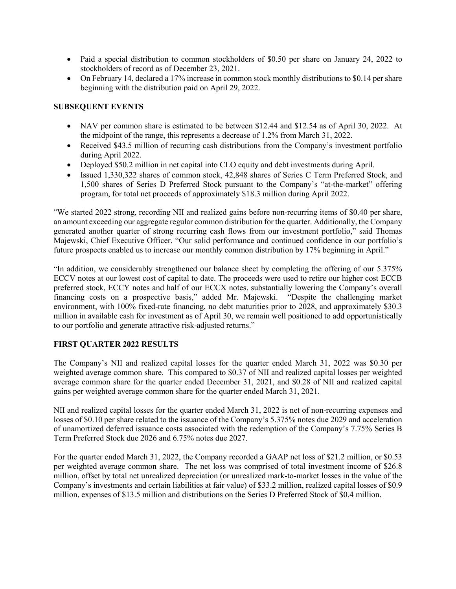- Paid a special distribution to common stockholders of \$0.50 per share on January 24, 2022 to stockholders of record as of December 23, 2021.
- On February 14, declared a 17% increase in common stock monthly distributions to \$0.14 per share beginning with the distribution paid on April 29, 2022.

### **SUBSEQUENT EVENTS**

- NAV per common share is estimated to be between \$12.44 and \$12.54 as of April 30, 2022. At the midpoint of the range, this represents a decrease of 1.2% from March 31, 2022.
- Received \$43.5 million of recurring cash distributions from the Company's investment portfolio during April 2022.
- Deployed \$50.2 million in net capital into CLO equity and debt investments during April.
- Issued 1,330,322 shares of common stock, 42,848 shares of Series C Term Preferred Stock, and 1,500 shares of Series D Preferred Stock pursuant to the Company's "at-the-market" offering program, for total net proceeds of approximately \$18.3 million during April 2022.

"We started 2022 strong, recording NII and realized gains before non-recurring items of \$0.40 per share, an amount exceeding our aggregate regular common distribution for the quarter. Additionally, the Company generated another quarter of strong recurring cash flows from our investment portfolio," said Thomas Majewski, Chief Executive Officer. "Our solid performance and continued confidence in our portfolio's future prospects enabled us to increase our monthly common distribution by 17% beginning in April."

"In addition, we considerably strengthened our balance sheet by completing the offering of our 5.375% ECCV notes at our lowest cost of capital to date. The proceeds were used to retire our higher cost ECCB preferred stock, ECCY notes and half of our ECCX notes, substantially lowering the Company's overall financing costs on a prospective basis," added Mr. Majewski. "Despite the challenging market environment, with 100% fixed-rate financing, no debt maturities prior to 2028, and approximately \$30.3 million in available cash for investment as of April 30, we remain well positioned to add opportunistically to our portfolio and generate attractive risk-adjusted returns."

## **FIRST QUARTER 2022 RESULTS**

The Company's NII and realized capital losses for the quarter ended March 31, 2022 was \$0.30 per weighted average common share. This compared to \$0.37 of NII and realized capital losses per weighted average common share for the quarter ended December 31, 2021, and \$0.28 of NII and realized capital gains per weighted average common share for the quarter ended March 31, 2021.

NII and realized capital losses for the quarter ended March 31, 2022 is net of non-recurring expenses and losses of \$0.10 per share related to the issuance of the Company's 5.375% notes due 2029 and acceleration of unamortized deferred issuance costs associated with the redemption of the Company's 7.75% Series B Term Preferred Stock due 2026 and 6.75% notes due 2027.

For the quarter ended March 31, 2022, the Company recorded a GAAP net loss of \$21.2 million, or \$0.53 per weighted average common share. The net loss was comprised of total investment income of \$26.8 million, offset by total net unrealized depreciation (or unrealized mark-to-market losses in the value of the Company's investments and certain liabilities at fair value) of \$33.2 million, realized capital losses of \$0.9 million, expenses of \$13.5 million and distributions on the Series D Preferred Stock of \$0.4 million.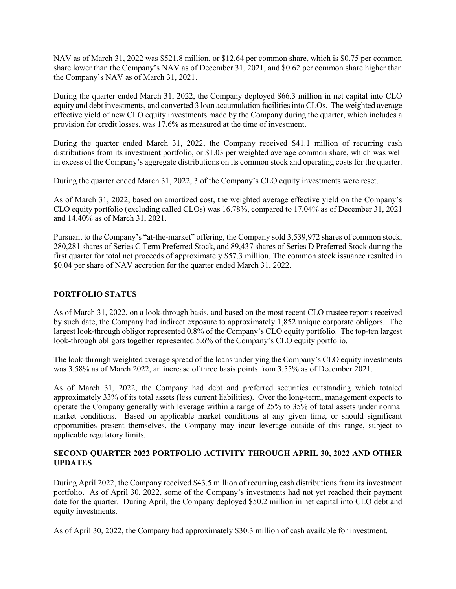NAV as of March 31, 2022 was \$521.8 million, or \$12.64 per common share, which is \$0.75 per common share lower than the Company's NAV as of December 31, 2021, and \$0.62 per common share higher than the Company's NAV as of March 31, 2021.

During the quarter ended March 31, 2022, the Company deployed \$66.3 million in net capital into CLO equity and debt investments, and converted 3 loan accumulation facilities into CLOs. The weighted average effective yield of new CLO equity investments made by the Company during the quarter, which includes a provision for credit losses, was 17.6% as measured at the time of investment.

During the quarter ended March 31, 2022, the Company received \$41.1 million of recurring cash distributions from its investment portfolio, or \$1.03 per weighted average common share, which was well in excess of the Company's aggregate distributions on its common stock and operating costs for the quarter.

During the quarter ended March 31, 2022, 3 of the Company's CLO equity investments were reset.

As of March 31, 2022, based on amortized cost, the weighted average effective yield on the Company's CLO equity portfolio (excluding called CLOs) was 16.78%, compared to 17.04% as of December 31, 2021 and 14.40% as of March 31, 2021.

Pursuant to the Company's "at-the-market" offering, the Company sold 3,539,972 shares of common stock, 280,281 shares of Series C Term Preferred Stock, and 89,437 shares of Series D Preferred Stock during the first quarter for total net proceeds of approximately \$57.3 million. The common stock issuance resulted in \$0.04 per share of NAV accretion for the quarter ended March 31, 2022.

## **PORTFOLIO STATUS**

As of March 31, 2022, on a look-through basis, and based on the most recent CLO trustee reports received by such date, the Company had indirect exposure to approximately 1,852 unique corporate obligors. The largest look-through obligor represented 0.8% of the Company's CLO equity portfolio. The top-ten largest look-through obligors together represented 5.6% of the Company's CLO equity portfolio.

The look-through weighted average spread of the loans underlying the Company's CLO equity investments was 3.58% as of March 2022, an increase of three basis points from 3.55% as of December 2021.

As of March 31, 2022, the Company had debt and preferred securities outstanding which totaled approximately 33% of its total assets (less current liabilities). Over the long-term, management expects to operate the Company generally with leverage within a range of 25% to 35% of total assets under normal market conditions. Based on applicable market conditions at any given time, or should significant opportunities present themselves, the Company may incur leverage outside of this range, subject to applicable regulatory limits.

### **SECOND QUARTER 2022 PORTFOLIO ACTIVITY THROUGH APRIL 30, 2022 AND OTHER UPDATES**

During April 2022, the Company received \$43.5 million of recurring cash distributions from its investment portfolio. As of April 30, 2022, some of the Company's investments had not yet reached their payment date for the quarter. During April, the Company deployed \$50.2 million in net capital into CLO debt and equity investments.

As of April 30, 2022, the Company had approximately \$30.3 million of cash available for investment.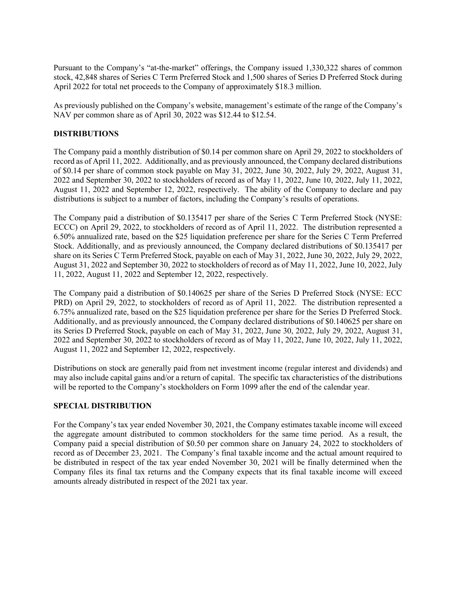Pursuant to the Company's "at-the-market" offerings, the Company issued 1,330,322 shares of common stock, 42,848 shares of Series C Term Preferred Stock and 1,500 shares of Series D Preferred Stock during April 2022 for total net proceeds to the Company of approximately \$18.3 million.

As previously published on the Company's website, management's estimate of the range of the Company's NAV per common share as of April 30, 2022 was \$12.44 to \$12.54.

#### **DISTRIBUTIONS**

The Company paid a monthly distribution of \$0.14 per common share on April 29, 2022 to stockholders of record as of April 11, 2022. Additionally, and as previously announced, the Company declared distributions of \$0.14 per share of common stock payable on May 31, 2022, June 30, 2022, July 29, 2022, August 31, 2022 and September 30, 2022 to stockholders of record as of May 11, 2022, June 10, 2022, July 11, 2022, August 11, 2022 and September 12, 2022, respectively. The ability of the Company to declare and pay distributions is subject to a number of factors, including the Company's results of operations.

The Company paid a distribution of \$0.135417 per share of the Series C Term Preferred Stock (NYSE: ECCC) on April 29, 2022, to stockholders of record as of April 11, 2022. The distribution represented a 6.50% annualized rate, based on the \$25 liquidation preference per share for the Series C Term Preferred Stock. Additionally, and as previously announced, the Company declared distributions of \$0.135417 per share on its Series C Term Preferred Stock, payable on each of May 31, 2022, June 30, 2022, July 29, 2022, August 31, 2022 and September 30, 2022 to stockholders of record as of May 11, 2022, June 10, 2022, July 11, 2022, August 11, 2022 and September 12, 2022, respectively.

The Company paid a distribution of \$0.140625 per share of the Series D Preferred Stock (NYSE: ECC PRD) on April 29, 2022, to stockholders of record as of April 11, 2022. The distribution represented a 6.75% annualized rate, based on the \$25 liquidation preference per share for the Series D Preferred Stock. Additionally, and as previously announced, the Company declared distributions of \$0.140625 per share on its Series D Preferred Stock, payable on each of May 31, 2022, June 30, 2022, July 29, 2022, August 31, 2022 and September 30, 2022 to stockholders of record as of May 11, 2022, June 10, 2022, July 11, 2022, August 11, 2022 and September 12, 2022, respectively.

Distributions on stock are generally paid from net investment income (regular interest and dividends) and may also include capital gains and/or a return of capital. The specific tax characteristics of the distributions will be reported to the Company's stockholders on Form 1099 after the end of the calendar year.

#### **SPECIAL DISTRIBUTION**

For the Company's tax year ended November 30, 2021, the Company estimates taxable income will exceed the aggregate amount distributed to common stockholders for the same time period. As a result, the Company paid a special distribution of \$0.50 per common share on January 24, 2022 to stockholders of record as of December 23, 2021. The Company's final taxable income and the actual amount required to be distributed in respect of the tax year ended November 30, 2021 will be finally determined when the Company files its final tax returns and the Company expects that its final taxable income will exceed amounts already distributed in respect of the 2021 tax year.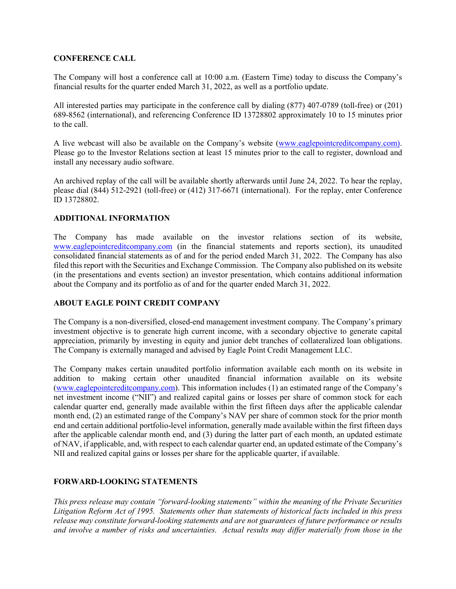#### **CONFERENCE CALL**

The Company will host a conference call at 10:00 a.m. (Eastern Time) today to discuss the Company's financial results for the quarter ended March 31, 2022, as well as a portfolio update.

All interested parties may participate in the conference call by dialing (877) 407-0789 (toll-free) or (201) 689-8562 (international), and referencing Conference ID 13728802 approximately 10 to 15 minutes prior to the call.

A live webcast will also be available on the Company's website [\(www.eaglepointcreditcompany.com\)](http://www.eaglepointcreditcompany.com/). Please go to the Investor Relations section at least 15 minutes prior to the call to register, download and install any necessary audio software.

An archived replay of the call will be available shortly afterwards until June 24, 2022. To hear the replay, please dial (844) 512-2921 (toll-free) or (412) 317-6671 (international). For the replay, enter Conference ID 13728802.

## **ADDITIONAL INFORMATION**

The Company has made available on the investor relations section of its website, [www.eaglepointcreditcompany.com](http://www.eaglepointcreditcompany.com/) (in the financial statements and reports section), its unaudited consolidated financial statements as of and for the period ended March 31, 2022. The Company has also filed this report with the Securities and Exchange Commission. The Company also published on its website (in the presentations and events section) an investor presentation, which contains additional information about the Company and its portfolio as of and for the quarter ended March 31, 2022.

## **ABOUT EAGLE POINT CREDIT COMPANY**

The Company is a non-diversified, closed-end management investment company. The Company's primary investment objective is to generate high current income, with a secondary objective to generate capital appreciation, primarily by investing in equity and junior debt tranches of collateralized loan obligations. The Company is externally managed and advised by Eagle Point Credit Management LLC.

The Company makes certain unaudited portfolio information available each month on its website in addition to making certain other unaudited financial information available on its website (www.eaglepointcreditcompany.com). This information includes (1) an estimated range of the Company's net investment income ("NII") and realized capital gains or losses per share of common stock for each calendar quarter end, generally made available within the first fifteen days after the applicable calendar month end, (2) an estimated range of the Company's NAV per share of common stock for the prior month end and certain additional portfolio-level information, generally made available within the first fifteen days after the applicable calendar month end, and (3) during the latter part of each month, an updated estimate of NAV, if applicable, and, with respect to each calendar quarter end, an updated estimate of the Company's NII and realized capital gains or losses per share for the applicable quarter, if available.

#### **FORWARD-LOOKING STATEMENTS**

*This press release may contain "forward-looking statements" within the meaning of the Private Securities Litigation Reform Act of 1995. Statements other than statements of historical facts included in this press release may constitute forward-looking statements and are not guarantees of future performance or results and involve a number of risks and uncertainties. Actual results may differ materially from those in the*